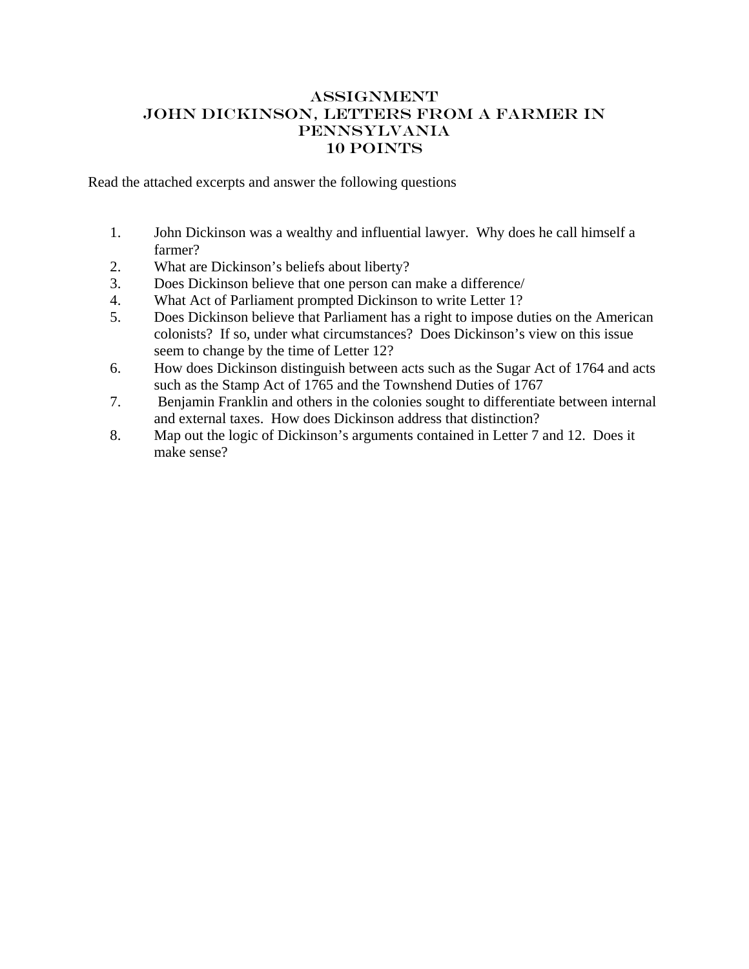## <span id="page-0-0"></span>**ASSIGNMENT** John Dickinson, Letters from a Farmer in Pennsylvania 10 points

Read the attached excerpts and answer the following questions

- 1. John Dickinson was a wealthy and influential lawyer. Why does he call himself a farmer?
- 2. What are Dickinson's beliefs about liberty?
- 3. Does Dickinson believe that one person can make a difference/
- 4. What Act of Parliament prompted Dickinson to write Letter 1?
- 5. Does Dickinson believe that Parliament has a right to impose duties on the American colonists? If so, under what circumstances? Does Dickinson's view on this issue seem to change by the time of Letter 12?
- 6. How does Dickinson distinguish between acts such as the Sugar Act of 1764 and acts such as the Stamp Act of 1765 and the Townshend Duties of 1767
- 7. Benjamin Franklin and others in the colonies sought to differentiate between internal and external taxes. How does Dickinson address that distinction?
- 8. Map out the logic of Dickinson's arguments contained in Letter 7 and 12. Does it make sense?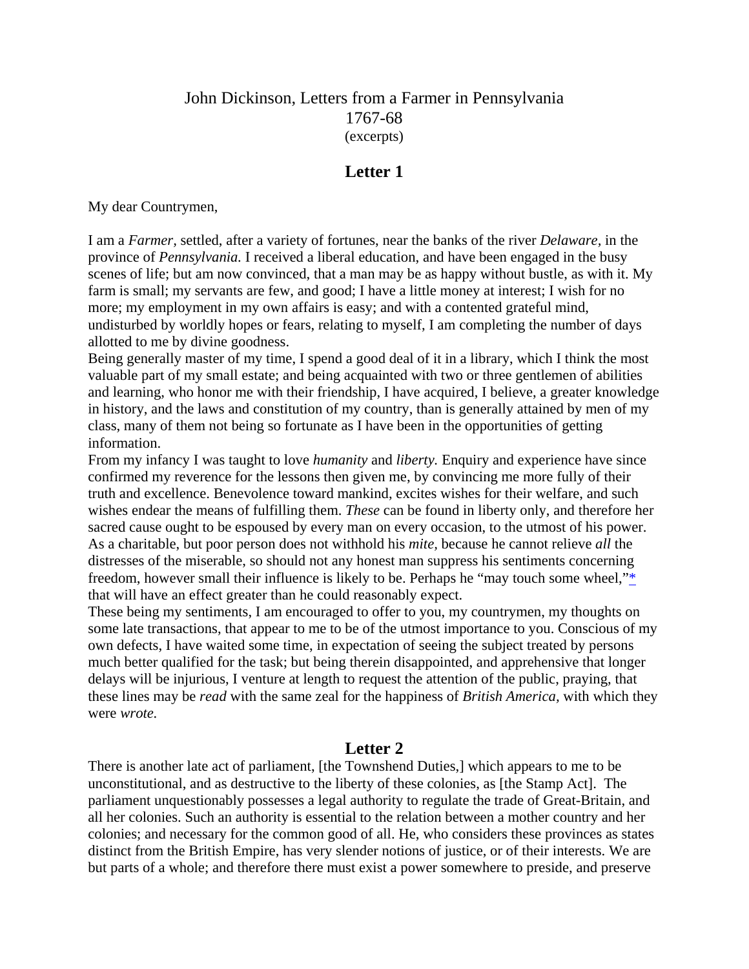# John Dickinson, Letters from a Farmer in Pennsylvania 1767-68 (excerpts)

# **Letter 1**

My dear Countrymen,

I am a *Farmer,* settled, after a variety of fortunes, near the banks of the river *Delaware,* in the province of *Pennsylvania.* I received a liberal education, and have been engaged in the busy scenes of life; but am now convinced, that a man may be as happy without bustle, as with it. My farm is small; my servants are few, and good; I have a little money at interest; I wish for no more; my employment in my own affairs is easy; and with a contented grateful mind, undisturbed by worldly hopes or fears, relating to myself, I am completing the number of days allotted to me by divine goodness.

Being generally master of my time, I spend a good deal of it in a library, which I think the most valuable part of my small estate; and being acquainted with two or three gentlemen of abilities and learning, who honor me with their friendship, I have acquired, I believe, a greater knowledge in history, and the laws and constitution of my country, than is generally attained by men of my class, many of them not being so fortunate as I have been in the opportunities of getting information.

From my infancy I was taught to love *humanity* and *liberty.* Enquiry and experience have since confirmed my reverence for the lessons then given me, by convincing me more fully of their truth and excellence. Benevolence toward mankind, excites wishes for their welfare, and such wishes endear the means of fulfilling them. *These* can be found in liberty only, and therefore her sacred cause ought to be espoused by every man on every occasion, to the utmost of his power. As a charitable, but poor person does not withhold his *mite,* because he cannot relieve *all* the distresses of the miserable, so should not any honest man suppress his sentiments concerning freedom, however small their influence is likely to be. Perhaps he "may touch some wheel,["\\*](#page-0-0) that will have an effect greater than he could reasonably expect.

These being my sentiments, I am encouraged to offer to you, my countrymen, my thoughts on some late transactions, that appear to me to be of the utmost importance to you. Conscious of my own defects, I have waited some time, in expectation of seeing the subject treated by persons much better qualified for the task; but being therein disappointed, and apprehensive that longer delays will be injurious, I venture at length to request the attention of the public, praying, that these lines may be *read* with the same zeal for the happiness of *British America,* with which they were *wrote.*

## **Letter 2**

There is another late act of parliament, [the Townshend Duties,] which appears to me to be unconstitutional, and as destructive to the liberty of these colonies, as [the Stamp Act]. The parliament unquestionably possesses a legal authority to regulate the trade of Great-Britain, and all her colonies. Such an authority is essential to the relation between a mother country and her colonies; and necessary for the common good of all. He, who considers these provinces as states distinct from the British Empire, has very slender notions of justice, or of their interests. We are but parts of a whole; and therefore there must exist a power somewhere to preside, and preserve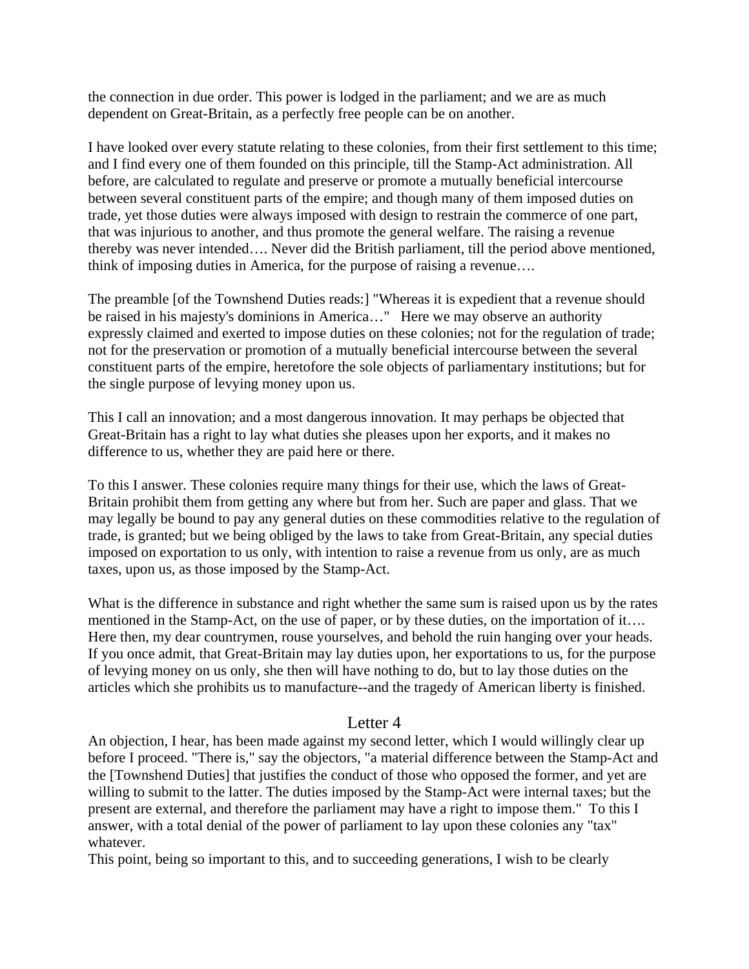the connection in due order. This power is lodged in the parliament; and we are as much dependent on Great-Britain, as a perfectly free people can be on another.

I have looked over every statute relating to these colonies, from their first settlement to this time; and I find every one of them founded on this principle, till the Stamp-Act administration. All before, are calculated to regulate and preserve or promote a mutually beneficial intercourse between several constituent parts of the empire; and though many of them imposed duties on trade, yet those duties were always imposed with design to restrain the commerce of one part, that was injurious to another, and thus promote the general welfare. The raising a revenue thereby was never intended…. Never did the British parliament, till the period above mentioned, think of imposing duties in America, for the purpose of raising a revenue….

The preamble [of the Townshend Duties reads:] "Whereas it is expedient that a revenue should be raised in his majesty's dominions in America…" Here we may observe an authority expressly claimed and exerted to impose duties on these colonies; not for the regulation of trade; not for the preservation or promotion of a mutually beneficial intercourse between the several constituent parts of the empire, heretofore the sole objects of parliamentary institutions; but for the single purpose of levying money upon us.

This I call an innovation; and a most dangerous innovation. It may perhaps be objected that Great-Britain has a right to lay what duties she pleases upon her exports, and it makes no difference to us, whether they are paid here or there.

To this I answer. These colonies require many things for their use, which the laws of Great-Britain prohibit them from getting any where but from her. Such are paper and glass. That we may legally be bound to pay any general duties on these commodities relative to the regulation of trade, is granted; but we being obliged by the laws to take from Great-Britain, any special duties imposed on exportation to us only, with intention to raise a revenue from us only, are as much taxes, upon us, as those imposed by the Stamp-Act.

What is the difference in substance and right whether the same sum is raised upon us by the rates mentioned in the Stamp-Act, on the use of paper, or by these duties, on the importation of it…. Here then, my dear countrymen, rouse yourselves, and behold the ruin hanging over your heads. If you once admit, that Great-Britain may lay duties upon, her exportations to us, for the purpose of levying money on us only, she then will have nothing to do, but to lay those duties on the articles which she prohibits us to manufacture--and the tragedy of American liberty is finished.

## Letter 4

An objection, I hear, has been made against my second letter, which I would willingly clear up before I proceed. "There is," say the objectors, "a material difference between the Stamp-Act and the [Townshend Duties] that justifies the conduct of those who opposed the former, and yet are willing to submit to the latter. The duties imposed by the Stamp-Act were internal taxes; but the present are external, and therefore the parliament may have a right to impose them." To this I answer, with a total denial of the power of parliament to lay upon these colonies any "tax" whatever.

This point, being so important to this, and to succeeding generations, I wish to be clearly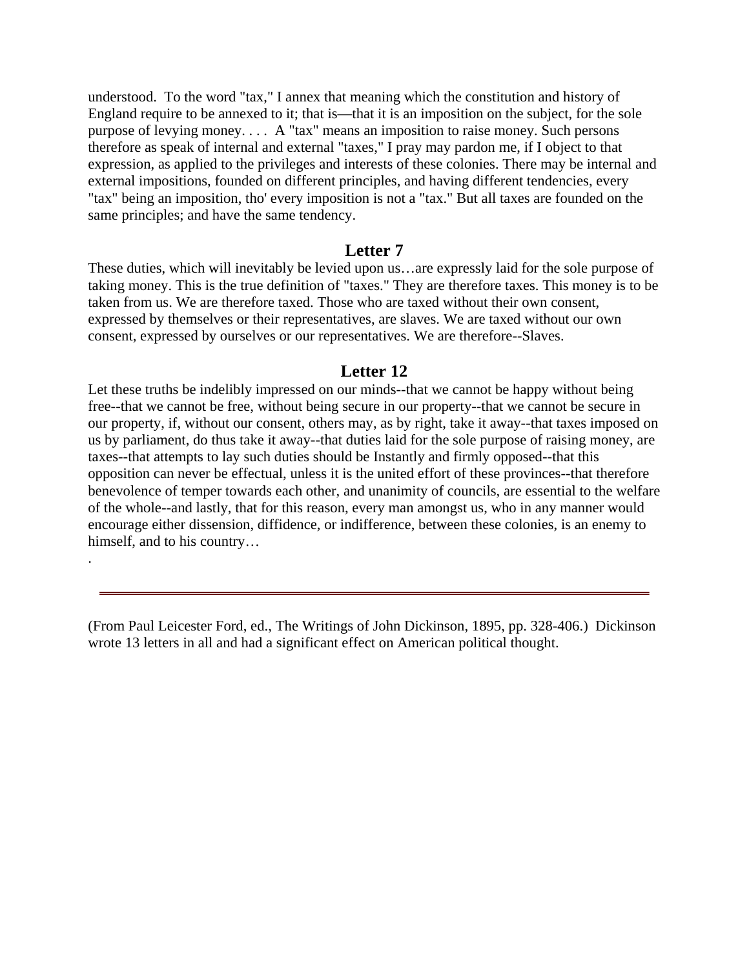understood. To the word "tax," I annex that meaning which the constitution and history of England require to be annexed to it; that is—that it is an imposition on the subject, for the sole purpose of levying money. . . . A "tax" means an imposition to raise money. Such persons therefore as speak of internal and external "taxes," I pray may pardon me, if I object to that expression, as applied to the privileges and interests of these colonies. There may be internal and external impositions, founded on different principles, and having different tendencies, every "tax" being an imposition, tho' every imposition is not a "tax." But all taxes are founded on the same principles; and have the same tendency.

#### **Letter 7**

These duties, which will inevitably be levied upon us…are expressly laid for the sole purpose of taking money. This is the true definition of "taxes." They are therefore taxes. This money is to be taken from us. We are therefore taxed. Those who are taxed without their own consent, expressed by themselves or their representatives, are slaves. We are taxed without our own consent, expressed by ourselves or our representatives. We are therefore--Slaves.

#### **Letter 12**

Let these truths be indelibly impressed on our minds--that we cannot be happy without being free--that we cannot be free, without being secure in our property--that we cannot be secure in our property, if, without our consent, others may, as by right, take it away--that taxes imposed on us by parliament, do thus take it away--that duties laid for the sole purpose of raising money, are taxes--that attempts to lay such duties should be Instantly and firmly opposed--that this opposition can never be effectual, unless it is the united effort of these provinces--that therefore benevolence of temper towards each other, and unanimity of councils, are essential to the welfare of the whole--and lastly, that for this reason, every man amongst us, who in any manner would encourage either dissension, diffidence, or indifference, between these colonies, is an enemy to himself, and to his country…

(From Paul Leicester Ford, ed., The Writings of John Dickinson, 1895, pp. 328-406.) Dickinson wrote 13 letters in all and had a significant effect on American political thought.

.